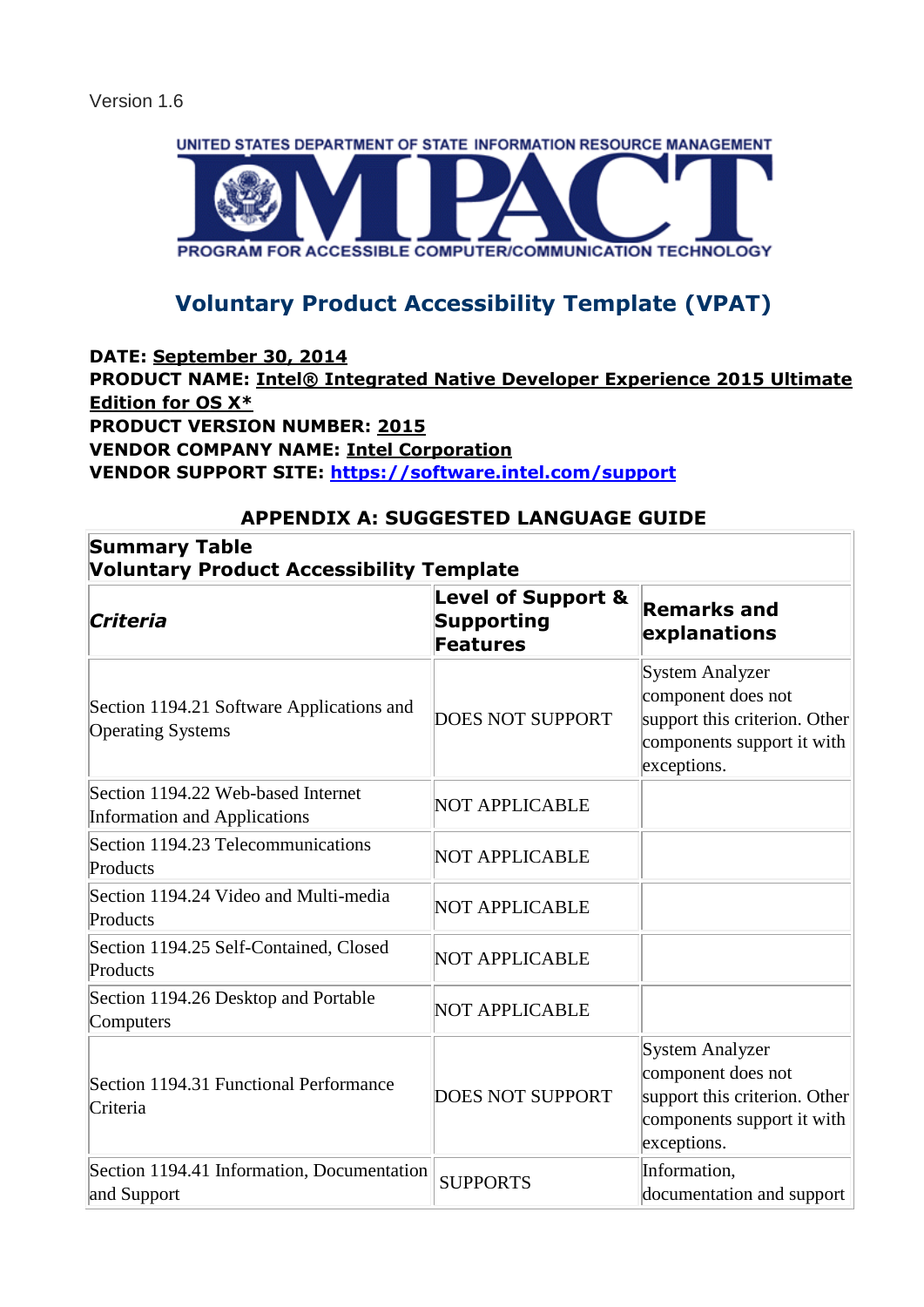

# **Voluntary Product Accessibility Template (VPAT)**

## **DATE: September 30, 2014 PRODUCT NAME: Intel® Integrated Native Developer Experience 2015 Ultimate Edition for OS X\* PRODUCT VERSION NUMBER: 2015 VENDOR COMPANY NAME: Intel Corporation VENDOR SUPPORT SITE:<https://software.intel.com/support>**

## **APPENDIX A: SUGGESTED LANGUAGE GUIDE**

| <b>Summary Table</b><br><b>Voluntary Product Accessibility Template</b>   |                                                                |                                                                                                                            |
|---------------------------------------------------------------------------|----------------------------------------------------------------|----------------------------------------------------------------------------------------------------------------------------|
| Criteria                                                                  | <b>Level of Support &amp;</b><br><b>Supporting</b><br>Features | <b>Remarks and</b><br>explanations                                                                                         |
| Section 1194.21 Software Applications and<br><b>Operating Systems</b>     | <b>DOES NOT SUPPORT</b>                                        | <b>System Analyzer</b><br>component does not<br>support this criterion. Other<br>components support it with<br>exceptions. |
| Section 1194.22 Web-based Internet<br><b>Information and Applications</b> | NOT APPLICABLE                                                 |                                                                                                                            |
| Section 1194.23 Telecommunications<br>Products                            | NOT APPLICABLE                                                 |                                                                                                                            |
| Section 1194.24 Video and Multi-media<br>Products                         | <b>NOT APPLICABLE</b>                                          |                                                                                                                            |
| Section 1194.25 Self-Contained, Closed<br>Products                        | NOT APPLICABLE                                                 |                                                                                                                            |
| Section 1194.26 Desktop and Portable<br>Computers                         | NOT APPLICABLE                                                 |                                                                                                                            |
| Section 1194.31 Functional Performance<br>Criteria                        | <b>DOES NOT SUPPORT</b>                                        | <b>System Analyzer</b><br>component does not<br>support this criterion. Other<br>components support it with<br>exceptions. |
| Section 1194.41 Information, Documentation<br>and Support                 | <b>SUPPORTS</b>                                                | Information,<br>documentation and support                                                                                  |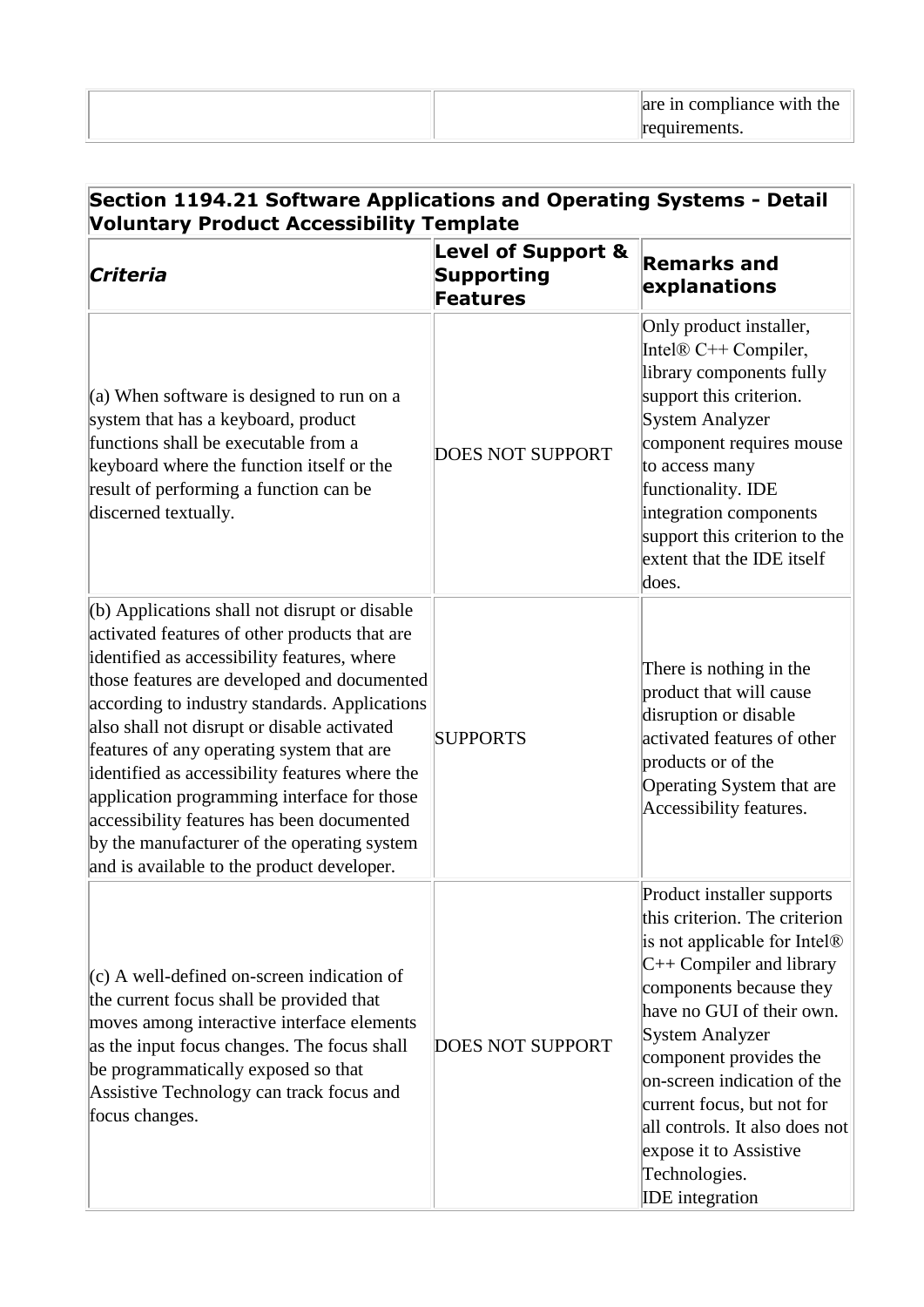| are in compliance with the |
|----------------------------|
| equirements.               |

| Section 1194.21 Software Applications and Operating Systems - Detail<br><b>Voluntary Product Accessibility Template</b>                                                                                                                                                                                                                                                                                                                                                                                                                                                                  |                                                                       |                                                                                                                                                                                                                                                                                                                                                                                                                |
|------------------------------------------------------------------------------------------------------------------------------------------------------------------------------------------------------------------------------------------------------------------------------------------------------------------------------------------------------------------------------------------------------------------------------------------------------------------------------------------------------------------------------------------------------------------------------------------|-----------------------------------------------------------------------|----------------------------------------------------------------------------------------------------------------------------------------------------------------------------------------------------------------------------------------------------------------------------------------------------------------------------------------------------------------------------------------------------------------|
| Criteria                                                                                                                                                                                                                                                                                                                                                                                                                                                                                                                                                                                 | <b>Level of Support &amp;</b><br><b>Supporting</b><br><b>Features</b> | <b>Remarks and</b><br>explanations                                                                                                                                                                                                                                                                                                                                                                             |
| (a) When software is designed to run on a<br>system that has a keyboard, product<br>functions shall be executable from a<br>keyboard where the function itself or the<br>result of performing a function can be<br>discerned textually.                                                                                                                                                                                                                                                                                                                                                  | <b>DOES NOT SUPPORT</b>                                               | Only product installer,<br>Intel $\mathbb{R}$ C++ Compiler,<br>library components fully<br>support this criterion.<br><b>System Analyzer</b><br>component requires mouse<br>to access many<br>functionality. IDE<br>integration components<br>support this criterion to the<br>extent that the IDE itself<br>does.                                                                                             |
| $($ b) Applications shall not disrupt or disable<br>activated features of other products that are<br>identified as accessibility features, where<br>those features are developed and documented<br>according to industry standards. Applications<br>also shall not disrupt or disable activated<br>features of any operating system that are<br>identified as accessibility features where the<br>application programming interface for those<br>accessibility features has been documented<br>by the manufacturer of the operating system<br>and is available to the product developer. | <b>SUPPORTS</b>                                                       | There is nothing in the<br>product that will cause<br>disruption or disable<br>activated features of other<br>products or of the<br>Operating System that are<br>Accessibility features.                                                                                                                                                                                                                       |
| $(c)$ A well-defined on-screen indication of<br>the current focus shall be provided that<br>moves among interactive interface elements<br>as the input focus changes. The focus shall<br>be programmatically exposed so that<br>Assistive Technology can track focus and<br>focus changes.                                                                                                                                                                                                                                                                                               | <b>DOES NOT SUPPORT</b>                                               | Product installer supports<br>this criterion. The criterion<br>is not applicable for Intel <sup>®</sup><br>$C++$ Compiler and library<br>components because they<br>have no GUI of their own.<br>System Analyzer<br>component provides the<br>on-screen indication of the<br>current focus, but not for<br>all controls. It also does not<br>expose it to Assistive<br>Technologies.<br><b>IDE</b> integration |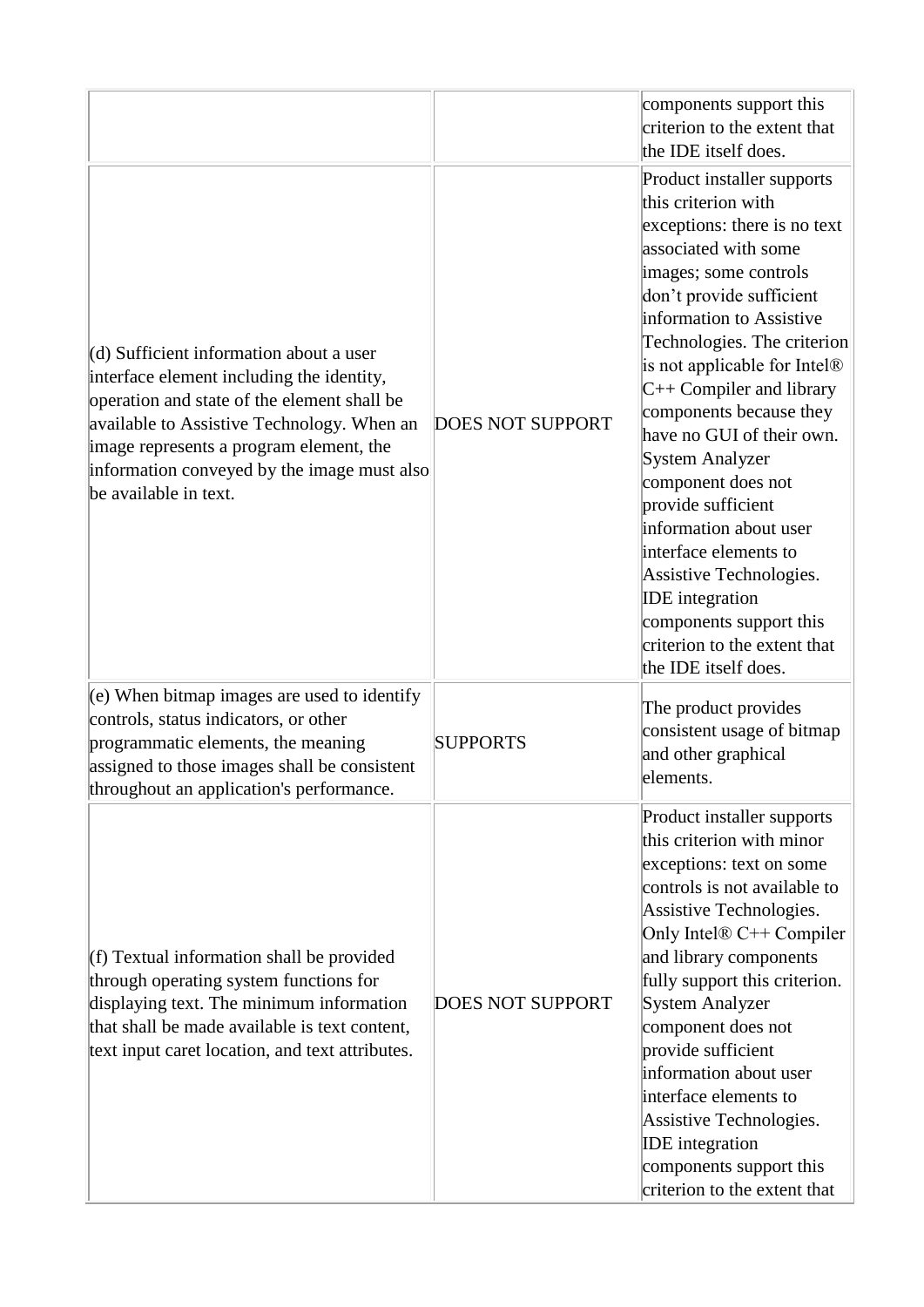|                                                                                                                                                                                                                                                                                                        |                         | components support this<br>criterion to the extent that<br>the IDE itself does.                                                                                                                                                                                                                                                                                                                                                                                                                                                                                                                                              |
|--------------------------------------------------------------------------------------------------------------------------------------------------------------------------------------------------------------------------------------------------------------------------------------------------------|-------------------------|------------------------------------------------------------------------------------------------------------------------------------------------------------------------------------------------------------------------------------------------------------------------------------------------------------------------------------------------------------------------------------------------------------------------------------------------------------------------------------------------------------------------------------------------------------------------------------------------------------------------------|
| $(d)$ Sufficient information about a user<br>interface element including the identity,<br>operation and state of the element shall be<br>available to Assistive Technology. When an<br>image represents a program element, the<br>information conveyed by the image must also<br>be available in text. | <b>DOES NOT SUPPORT</b> | Product installer supports<br>this criterion with<br>exceptions: there is no text<br>associated with some<br>images; some controls<br>don't provide sufficient<br>information to Assistive<br>Technologies. The criterion<br>is not applicable for Intel <sup>®</sup><br>$C++$ Compiler and library<br>components because they<br>have no GUI of their own.<br><b>System Analyzer</b><br>component does not<br>provide sufficient<br>information about user<br>interface elements to<br>Assistive Technologies.<br><b>IDE</b> integration<br>components support this<br>criterion to the extent that<br>the IDE itself does. |
| $(e)$ When bitmap images are used to identify<br>controls, status indicators, or other<br>programmatic elements, the meaning<br>assigned to those images shall be consistent<br>throughout an application's performance.                                                                               | <b>SUPPORTS</b>         | The product provides<br>consistent usage of bitmap<br>and other graphical<br>elements.                                                                                                                                                                                                                                                                                                                                                                                                                                                                                                                                       |
| (f) Textual information shall be provided<br>through operating system functions for<br>displaying text. The minimum information<br>that shall be made available is text content,<br>text input caret location, and text attributes.                                                                    | <b>DOES NOT SUPPORT</b> | Product installer supports<br>this criterion with minor<br>exceptions: text on some<br>controls is not available to<br>Assistive Technologies.<br>Only Intel® C++ Compiler<br>and library components<br>fully support this criterion.<br><b>System Analyzer</b><br>component does not<br>provide sufficient<br>information about user<br>interface elements to<br>Assistive Technologies.<br><b>IDE</b> integration<br>components support this<br>criterion to the extent that                                                                                                                                               |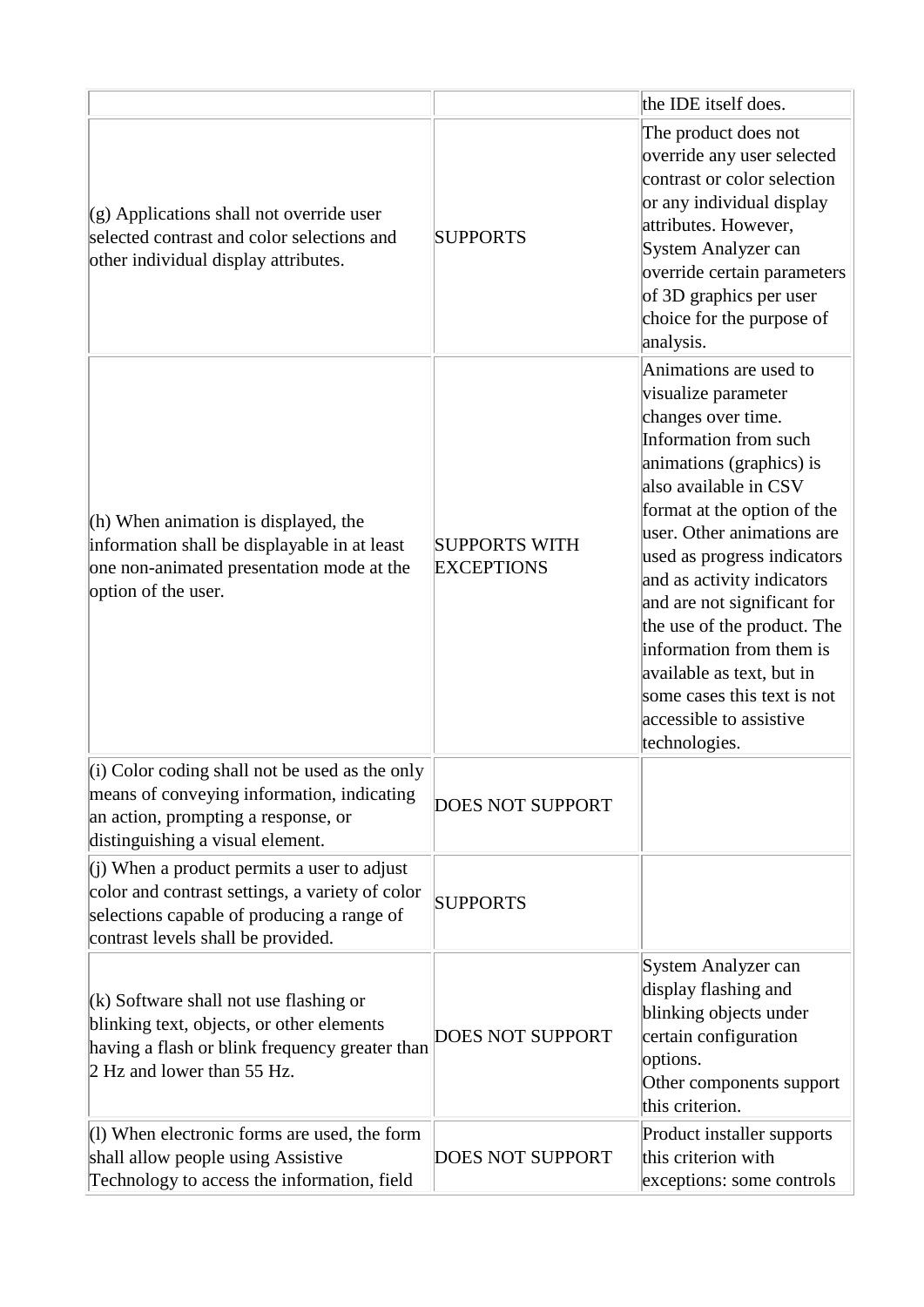|                                                                                                                                                                                      |                                           | the IDE itself does.                                                                                                                                                                                                                                                                                                                                                                                                                                                          |
|--------------------------------------------------------------------------------------------------------------------------------------------------------------------------------------|-------------------------------------------|-------------------------------------------------------------------------------------------------------------------------------------------------------------------------------------------------------------------------------------------------------------------------------------------------------------------------------------------------------------------------------------------------------------------------------------------------------------------------------|
| $(g)$ Applications shall not override user<br>selected contrast and color selections and<br>other individual display attributes.                                                     | <b>SUPPORTS</b>                           | The product does not<br>override any user selected<br>contrast or color selection<br>or any individual display<br>attributes. However,<br>System Analyzer can<br>override certain parameters<br>of 3D graphics per user<br>choice for the purpose of<br>analysis.                                                                                                                                                                                                             |
| $(h)$ When animation is displayed, the<br>information shall be displayable in at least<br>one non-animated presentation mode at the<br>option of the user.                           | <b>SUPPORTS WITH</b><br><b>EXCEPTIONS</b> | Animations are used to<br>visualize parameter<br>changes over time.<br>Information from such<br>animations (graphics) is<br>also available in CSV<br>format at the option of the<br>user. Other animations are<br>used as progress indicators<br>and as activity indicators<br>and are not significant for<br>the use of the product. The<br>information from them is<br>available as text, but in<br>some cases this text is not<br>accessible to assistive<br>technologies. |
| $(i)$ Color coding shall not be used as the only<br>means of conveying information, indicating<br>an action, prompting a response, or<br>distinguishing a visual element.            | <b>DOES NOT SUPPORT</b>                   |                                                                                                                                                                                                                                                                                                                                                                                                                                                                               |
| $(i)$ When a product permits a user to adjust<br>color and contrast settings, a variety of color<br>selections capable of producing a range of<br>contrast levels shall be provided. | <b>SUPPORTS</b>                           |                                                                                                                                                                                                                                                                                                                                                                                                                                                                               |
| $(k)$ Software shall not use flashing or<br>blinking text, objects, or other elements<br>having a flash or blink frequency greater than<br>2 Hz and lower than 55 Hz.                | <b>DOES NOT SUPPORT</b>                   | System Analyzer can<br>display flashing and<br>blinking objects under<br>certain configuration<br>options.<br>Other components support<br>this criterion.                                                                                                                                                                                                                                                                                                                     |
| $(1)$ When electronic forms are used, the form<br>shall allow people using Assistive<br>Technology to access the information, field                                                  | <b>DOES NOT SUPPORT</b>                   | Product installer supports<br>this criterion with<br>exceptions: some controls                                                                                                                                                                                                                                                                                                                                                                                                |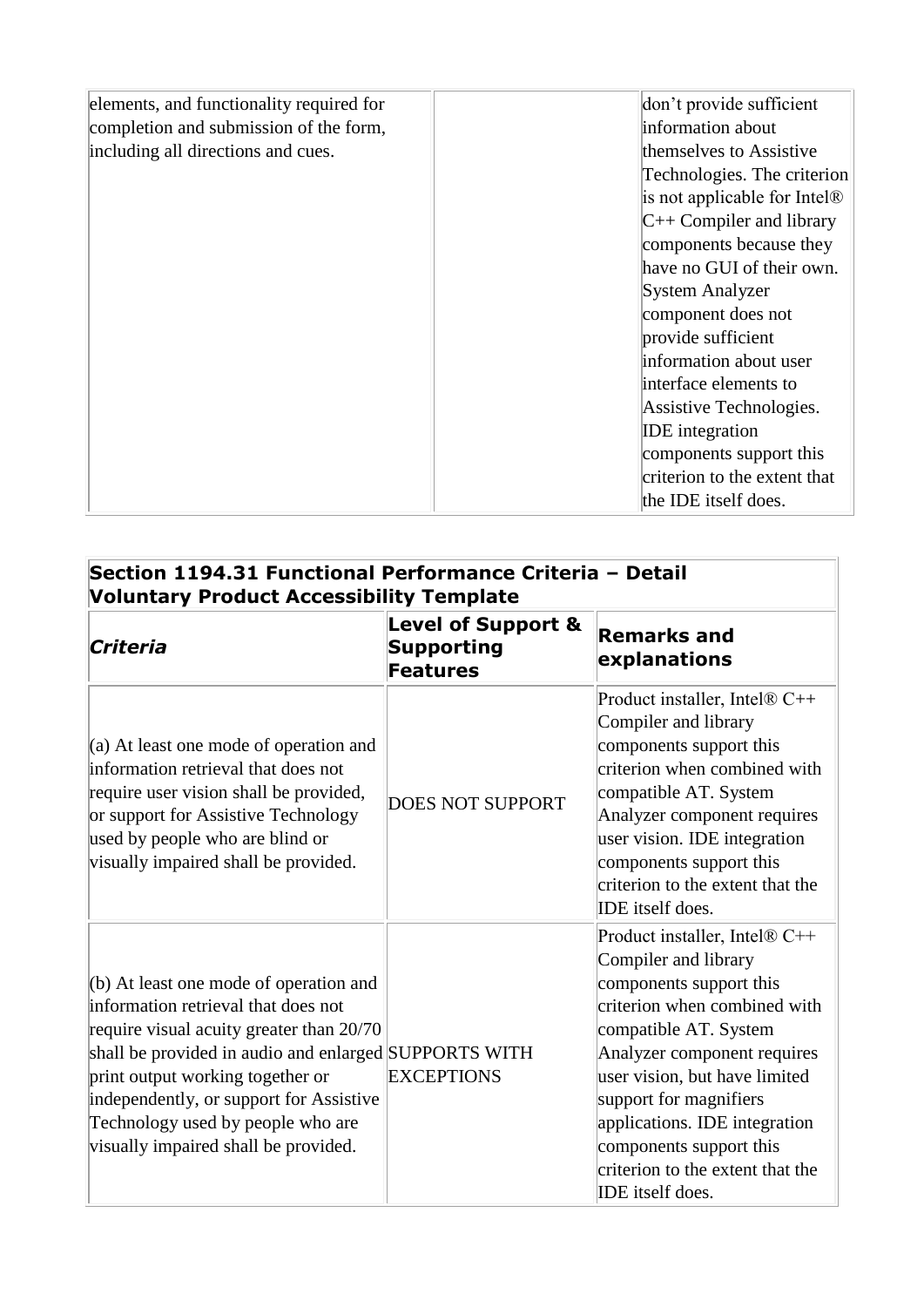| elements, and functionality required for | don't provide sufficient                 |
|------------------------------------------|------------------------------------------|
| completion and submission of the form,   | information about                        |
| including all directions and cues.       | themselves to Assistive                  |
|                                          | Technologies. The criterion              |
|                                          | is not applicable for Intel <sup>®</sup> |
|                                          | $C++$ Compiler and library               |
|                                          | components because they                  |
|                                          | have no GUI of their own.                |
|                                          | System Analyzer                          |
|                                          | component does not                       |
|                                          | provide sufficient                       |
|                                          | information about user                   |
|                                          | interface elements to                    |
|                                          | Assistive Technologies.                  |
|                                          | <b>IDE</b> integration                   |
|                                          | components support this                  |
|                                          | criterion to the extent that             |
|                                          | the IDE itself does.                     |

| Section 1194.31 Functional Performance Criteria - Detail<br><b>Voluntary Product Accessibility Template</b>                                                                                                                                                                                                                                    |                                                                |                                                                                                                                                                                                                                                                                                                                                         |
|------------------------------------------------------------------------------------------------------------------------------------------------------------------------------------------------------------------------------------------------------------------------------------------------------------------------------------------------|----------------------------------------------------------------|---------------------------------------------------------------------------------------------------------------------------------------------------------------------------------------------------------------------------------------------------------------------------------------------------------------------------------------------------------|
| Criteria                                                                                                                                                                                                                                                                                                                                       | <b>Level of Support &amp;</b><br>Supporting<br><b>Features</b> | <b>Remarks and</b><br>explanations                                                                                                                                                                                                                                                                                                                      |
| (a) At least one mode of operation and<br>information retrieval that does not<br>require user vision shall be provided,<br>or support for Assistive Technology<br>used by people who are blind or<br>visually impaired shall be provided.                                                                                                      | <b>DOES NOT SUPPORT</b>                                        | Product installer, Intel® C++<br>Compiler and library<br>components support this<br>criterion when combined with<br>compatible AT. System<br>Analyzer component requires<br>user vision. IDE integration<br>components support this<br>criterion to the extent that the<br>IDE itself does.                                                             |
| (b) At least one mode of operation and<br>information retrieval that does not<br>require visual acuity greater than 20/70<br>shall be provided in audio and enlarged SUPPORTS WITH<br>print output working together or<br>independently, or support for Assistive<br>Technology used by people who are<br>visually impaired shall be provided. | <b>EXCEPTIONS</b>                                              | Product installer, Intel® C++<br>Compiler and library<br>components support this<br>criterion when combined with<br>compatible AT. System<br>Analyzer component requires<br>user vision, but have limited<br>support for magnifiers<br>applications. IDE integration<br>components support this<br>criterion to the extent that the<br>IDE itself does. |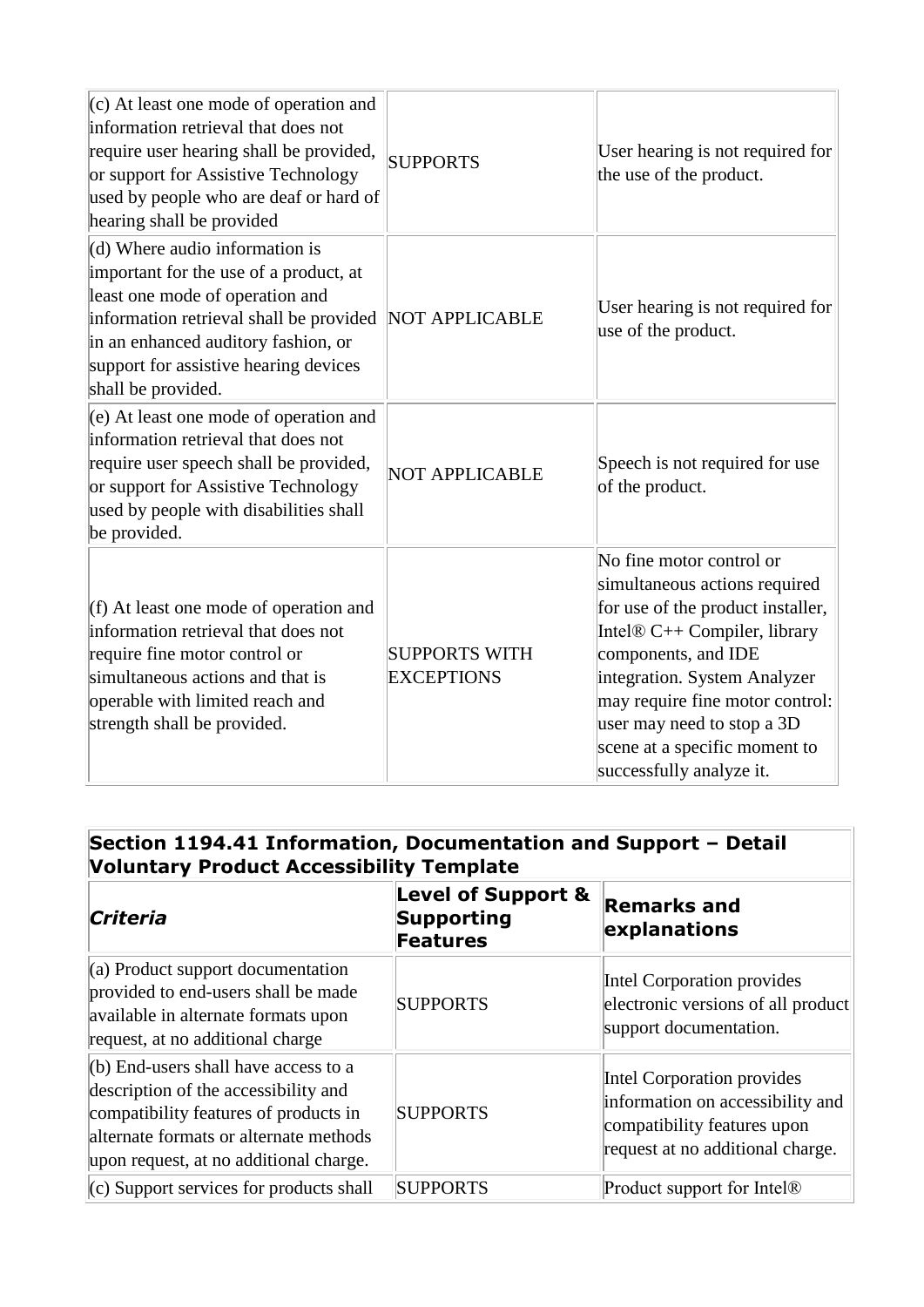| $(c)$ At least one mode of operation and<br>information retrieval that does not<br>require user hearing shall be provided,<br>or support for Assistive Technology<br>used by people who are deaf or hard of<br>hearing shall be provided                       | <b>SUPPORTS</b>                           | User hearing is not required for<br>the use of the product.                                                                                                                                                                                                                                                         |
|----------------------------------------------------------------------------------------------------------------------------------------------------------------------------------------------------------------------------------------------------------------|-------------------------------------------|---------------------------------------------------------------------------------------------------------------------------------------------------------------------------------------------------------------------------------------------------------------------------------------------------------------------|
| $(d)$ Where audio information is<br>important for the use of a product, at<br>least one mode of operation and<br>information retrieval shall be provided<br>in an enhanced auditory fashion, or<br>support for assistive hearing devices<br>shall be provided. | NOT APPLICABLE                            | User hearing is not required for<br>use of the product.                                                                                                                                                                                                                                                             |
| $(e)$ At least one mode of operation and<br>information retrieval that does not<br>require user speech shall be provided,<br>or support for Assistive Technology<br>used by people with disabilities shall<br>be provided.                                     | <b>NOT APPLICABLE</b>                     | Speech is not required for use<br>of the product.                                                                                                                                                                                                                                                                   |
| (f) At least one mode of operation and<br>information retrieval that does not<br>require fine motor control or<br>simultaneous actions and that is<br>operable with limited reach and<br>strength shall be provided.                                           | <b>SUPPORTS WITH</b><br><b>EXCEPTIONS</b> | No fine motor control or<br>simultaneous actions required<br>for use of the product installer,<br>Intel® C++ Compiler, library<br>components, and IDE<br>integration. System Analyzer<br>may require fine motor control:<br>user may need to stop a 3D<br>scene at a specific moment to<br>successfully analyze it. |

# **Section 1194.41 Information, Documentation and Support – Detail Voluntary Product Accessibility Template**

| Criteria                                                                                                                                                                                                    | <b>Level of Support &amp;</b><br><b>Supporting</b><br><b>Features</b> | <b>Remarks and</b><br>explanations                                                                                                |
|-------------------------------------------------------------------------------------------------------------------------------------------------------------------------------------------------------------|-----------------------------------------------------------------------|-----------------------------------------------------------------------------------------------------------------------------------|
| $(a)$ Product support documentation<br>provided to end-users shall be made<br>available in alternate formats upon<br>request, at no additional charge                                                       | <b>SUPPORTS</b>                                                       | Intel Corporation provides<br>electronic versions of all product<br>support documentation.                                        |
| $(b)$ End-users shall have access to a<br>description of the accessibility and<br>compatibility features of products in<br>alternate formats or alternate methods<br>upon request, at no additional charge. | <b>SUPPORTS</b>                                                       | Intel Corporation provides<br>information on accessibility and<br>compatibility features upon<br>request at no additional charge. |
| $(c)$ Support services for products shall                                                                                                                                                                   | <b>SUPPORTS</b>                                                       | Product support for Intel <sup>®</sup>                                                                                            |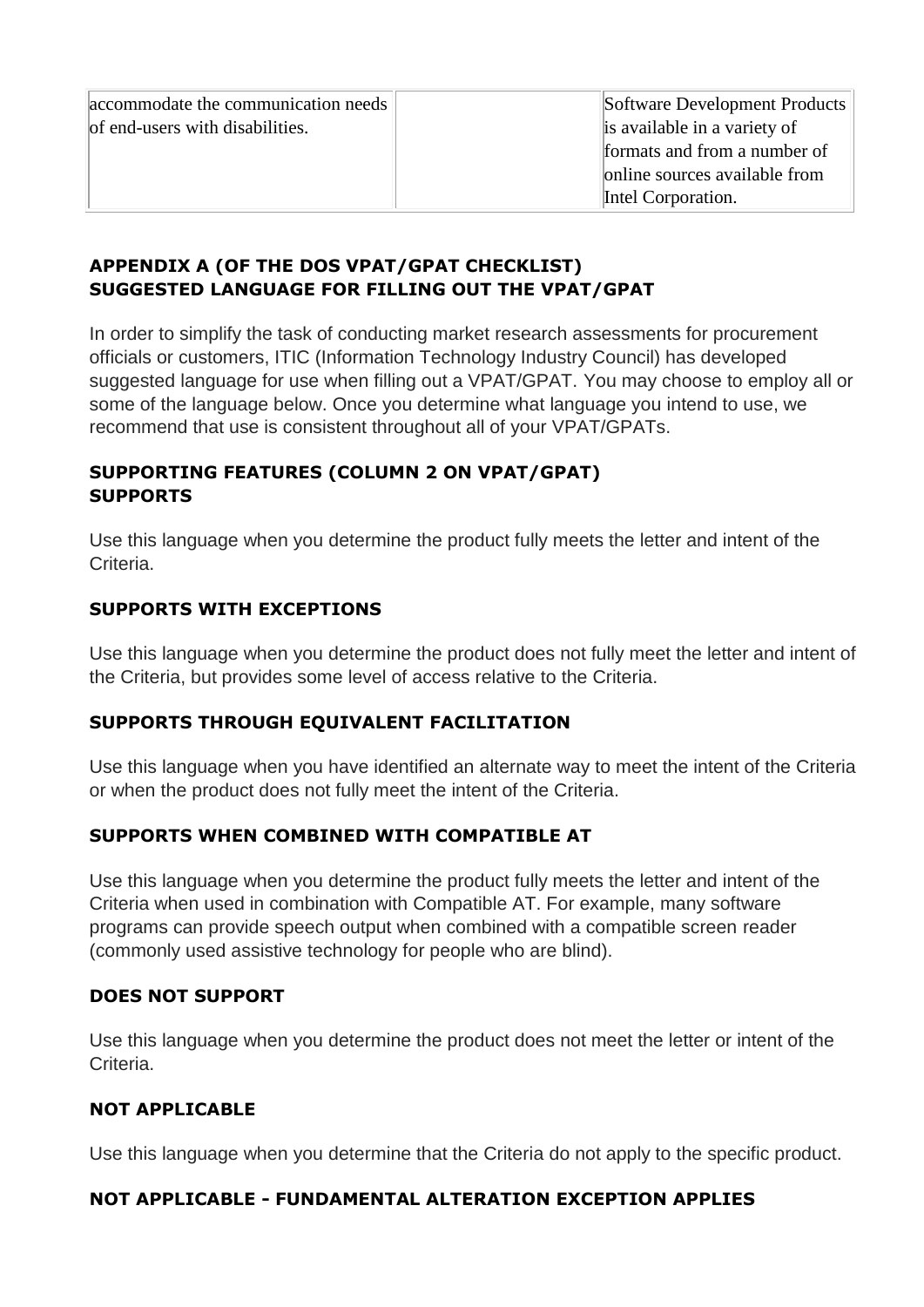| accommodate the communication needs | Software Development Products |
|-------------------------------------|-------------------------------|
| of end-users with disabilities.     | is available in a variety of  |
|                                     | formats and from a number of  |
|                                     | online sources available from |
|                                     | Intel Corporation.            |

## **APPENDIX A (OF THE DOS VPAT/GPAT CHECKLIST) SUGGESTED LANGUAGE FOR FILLING OUT THE VPAT/GPAT**

In order to simplify the task of conducting market research assessments for procurement officials or customers, ITIC (Information Technology Industry Council) has developed suggested language for use when filling out a VPAT/GPAT. You may choose to employ all or some of the language below. Once you determine what language you intend to use, we recommend that use is consistent throughout all of your VPAT/GPATs.

## **SUPPORTING FEATURES (COLUMN 2 ON VPAT/GPAT) SUPPORTS**

Use this language when you determine the product fully meets the letter and intent of the **Criteria** 

## **SUPPORTS WITH EXCEPTIONS**

Use this language when you determine the product does not fully meet the letter and intent of the Criteria, but provides some level of access relative to the Criteria.

### **SUPPORTS THROUGH EQUIVALENT FACILITATION**

Use this language when you have identified an alternate way to meet the intent of the Criteria or when the product does not fully meet the intent of the Criteria.

### **SUPPORTS WHEN COMBINED WITH COMPATIBLE AT**

Use this language when you determine the product fully meets the letter and intent of the Criteria when used in combination with Compatible AT. For example, many software programs can provide speech output when combined with a compatible screen reader (commonly used assistive technology for people who are blind).

### **DOES NOT SUPPORT**

Use this language when you determine the product does not meet the letter or intent of the **Criteria** 

# **NOT APPLICABLE**

Use this language when you determine that the Criteria do not apply to the specific product.

### **NOT APPLICABLE - FUNDAMENTAL ALTERATION EXCEPTION APPLIES**